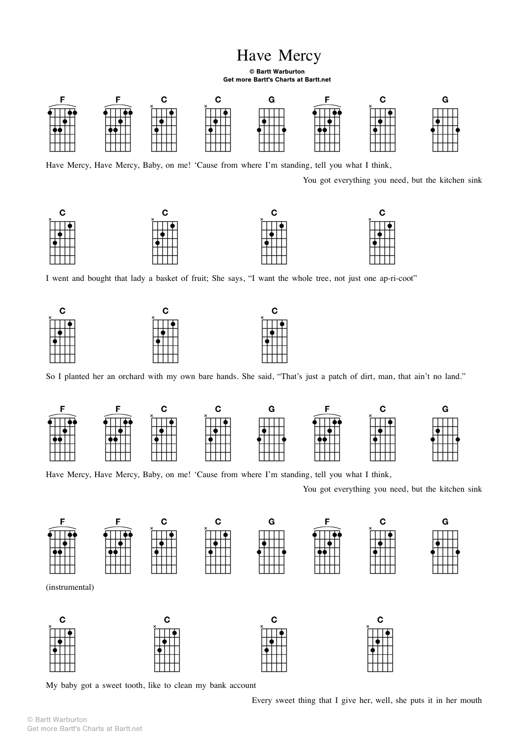## Have Mercy

## © Bartt Warburton Get more Bartt's Charts at Bartt.net



Have Mercy, Have Mercy, Baby, on me! 'Cause from where I'm standing, tell you what I think,

You got everything you need, but the kitchen sink



I went and bought that lady a basket of fruit; She says, "I want the whole tree, not just one ap-ri-coot"



So I planted her an orchard with my own bare hands. She said, "That's just a patch of dirt, man, that ain't no land."

C



Have Mercy, Have Mercy, Baby, on me! 'Cause from where I'm standing, tell you what I think,

You got everything you need, but the kitchen sink



(instrumental)



My baby got a sweet tooth, like to clean my bank account

Every sweet thing that I give her, well, she puts it in her mouth

 $\mathbf C$ 

© Bartt Warburton Get more Bartt's Charts at Bartt.net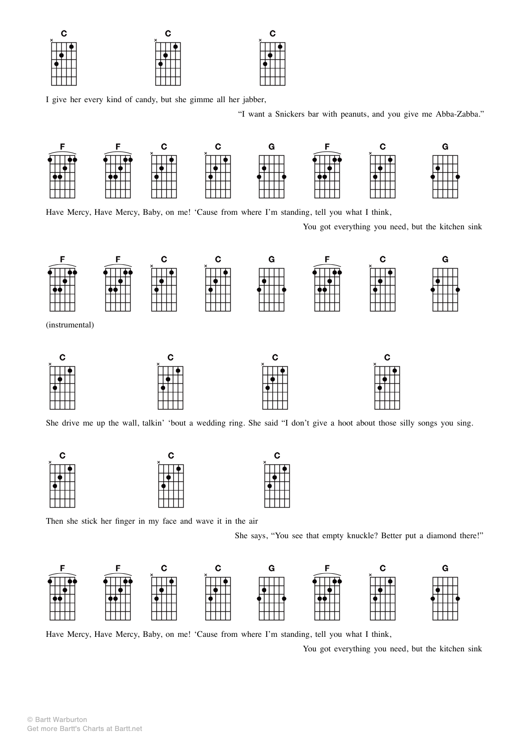| ÷.       | tΞ |   |
|----------|----|---|
| $\times$ | ັ  | v |
|          |    |   |
|          |    |   |
|          |    |   |
|          |    |   |

I give her every kind of candy, but she gimme all her jabber,

"I want a Snickers bar with peanuts, and you give me Abba-Zabba."



Have Mercy, Have Mercy, Baby, on me! 'Cause from where I'm standing, tell you what I think,

You got everything you need, but the kitchen sink



She drive me up the wall, talkin' 'bout a wedding ring. She said "I don't give a hoot about those silly songs you sing.



Then she stick her finger in my face and wave it in the air

She says, "You see that empty knuckle? Better put a diamond there!"



Have Mercy, Have Mercy, Baby, on me! 'Cause from where I'm standing, tell you what I think,

You got everything you need, but the kitchen sink

© Bartt Warburton Get more Bartt's Charts at Bartt.net